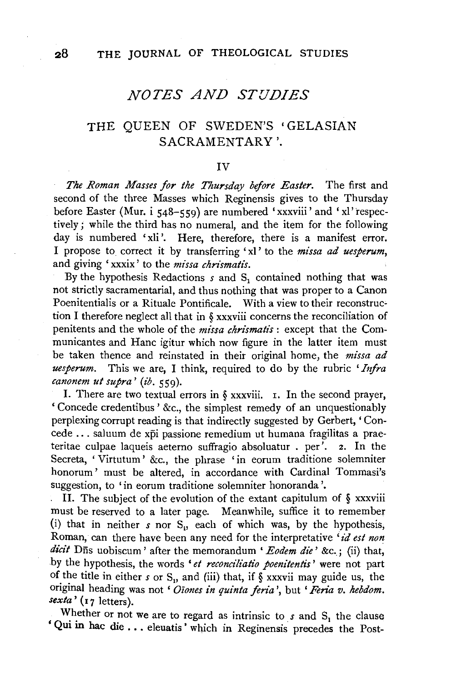## *NOTES AND STUDIES*

## THE QUEEN OF SWEDEN'S 'GELASIAN SACRAMENTARY '.

### IV

*The Roman Masses for the Thursday before Easter.* The first and second of the three Masses which Reginensis gives to the Thursday before Easter (Mur. i 548-559) are numbered 'xxxviii' and 'xl' respectively; while the third has no numeral, and the item for the following day is numbered 'xli'. Here, therefore, there is a manifest error. I propose to\_ correct it by transferring 'xl' to the *missa ad uesperum,*  and giving 'xxxix' to the *missa chrismatis*.

By the hypothesis Redactions *s* and S<sub>1</sub> contained nothing that was not strictly sacramentarial, and thus nothing that was proper to a Canon Poenitentialis or a Rituale Pontificale. With a view to their reconstruction I therefore neglect all that in § xxxviii concerns the reconciliation of penitents and the whole of the *missa chrismatis* : except that the Communicantes and Hane igitur which now figure in the latter item must be taken thence and reinstated in their original home, the *missa ad uesperum.* This we are, I think, required to do by the rubric *'Infra canonem ut supra' (ib.* 559).

I. There are two textual errors in  $\S$  xxxviii. 1. In the second prayer, ' Concede credentibus ' &c., the simplest remedy of an unquestionably perplexing corrupt reading is that indirectly suggested by Gerbert, 'Concede ... saluum de xpi passione remedium ut humana fragilitas a praeteritae culpae laqueis aeterno suffragio absoluatur . per'. 2. In the Secreta, 'Virtutum' &c., the phrase 'in eorum traditione solemniter honorum' must be altered, in accordance with Cardinal Tommasi's suggestion, to 'in eorum traditione solemniter honoranda '.

II. The subject of the evolution of the extant capitulum of  $\S$  xxxviii must be reserved to a later page. Meanwhile, suffice it to remember (i) that in neither  $s$  nor  $S_{ij}$  each of which was, by the hypothesis, Roman, can there have been any need for the interpretative *id est non* dicit Dns uobiscum' after the memorandum ' Eodem die' &c.; (ii) that, by the hypothesis, the words ' *et reconciliatio poenitentis'* were not part of the title in either  $s$  or  $S_n$ , and (iii) that, if  $\frac{1}{2}$  xxxvii may guide us, the original heading was not ' *Oiones in quinta feria*', but ' Feria v. hebdom. *sexta'* (17 letters).

Whether or not we are to regard as intrinsic to  $s$  and  $S<sub>1</sub>$  the clause ' Qui in hac die ... eleuatis ' which in Reginensis precedes the Post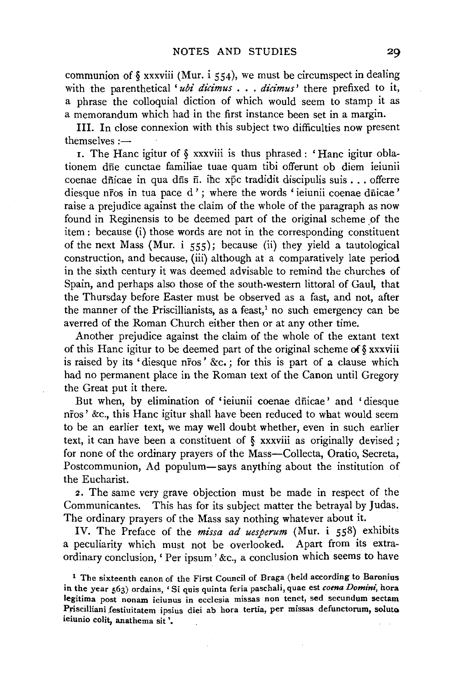communion of  $\S$  xxxviii (Mur. i 554), we must be circumspect in dealing with the parenthetical *'ubi dicimus* ... *dicimus'* there prefixed to it, a phrase the colloquial diction of which would seem to stamp it as a memorandum which had in the first instance been set in a margin.

III. In close connexion with this subject two difficulties now present themselves  $-$ 

1. The Hane igitur of § xxxviii is thus phrased : ' Hane igitur oblationem dne cunctae familiae tuae quam tibi offerunt ob diem ieiunii coenae dñicae in qua dñs  $\overline{n}$ . ihc xpc tradidit discipulis suis ... offerre diesque nros in tua pace d'; where the words 'ieiunii coenae dnicae' raise a prejudice against the claim of the whole of the paragraph as now found in Reginensis to be deemed part of the original scheme of the item : because (i) those words are not in the corresponding constituent of the next Mass (Mur. i  $55$ ); because (ii) they yield a tautological construction, and because, (iii) although at a comparatively late period in the sixth century it was deemed advisable to remind the churches of Spain, and perhaps also those of the south-western littoral of Gaul, that the Thursday before Easter must be observed as a fast, and not, after the manner of the Priscillianists, as a feast,<sup>1</sup> no such emergency can be averred of the Roman Church either then or at any other time.

Another prejudice against the claim of the whole of the extant text of this Hane igitur to be deemed part of the original scheme of§ xxxviii is raised by its ' diesque nfos ' &c. ; for this is part of a clause which had no permanent place in the Roman text of the Canon until Gregory the Great put it there.

But when, by elimination of 'ieiunii coenae dnicae' and 'diesque nfos' &c., this Hane igitur shall have been reduced to what would seem to be an earlier text, we may well doubt whether, even in such earlier text, it can have been a constituent of § xxxviii as originally devised; for none of the ordinary prayers of the Mass—Collecta, Oratio, Secreta, Postcommunion, Ad populum-says anything about the institution of the Eucharist.

2. The same very grave objection must be made in respect of the Communicantes. This has for its subject matter the betrayal by Judas. The ordinary prayers of the Mass say nothing whatever about it.

IV. The Preface of the *missa ad uesperum* (Mur. i 558) exhibits a peculiarity which must not be overlooked. Apart from its extraordinary conclusion, ' Per ipsum' &c., a conclusion which seems to have

<sup>1</sup> The sixteenth canon of the First Council of Braga (held according to Baronius in the year 563) ordains, 'Si quis quinta feria paschali, quae est *coena Domini,* hora legitima post nonam ieiunus in ecclesia missas non tenet, sed secundum sectam Priscilliani festiuitatem ipsius diei ab hora tertia, per missas defunctorum, soluto ieiunio colit, anathema sit '.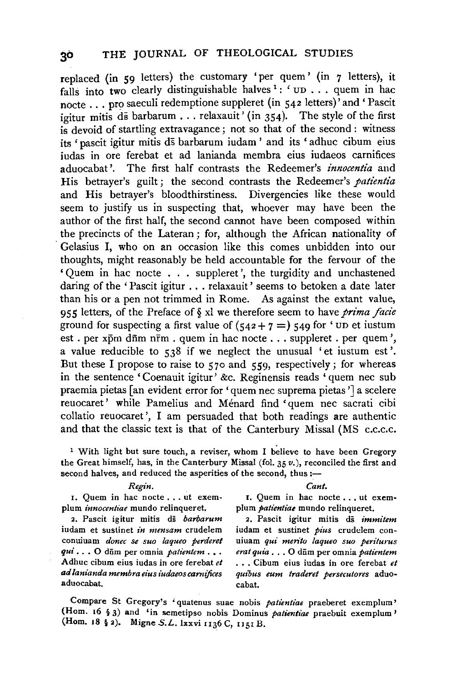replaced (in 59 letters) the customary 'per quem' (in  $7$  letters), it falls into two clearly distinguishable halves  $\cdot$ :  $\cdot$  up ... quem in hac nocte ... pro saeculi redemptione suppleret (in 542 letters)<sup>2</sup> and 'Pascit igitur mitis ds barbarum . . . relaxauit' (in  $354$ ). The style of the first is devoid of startling extravagance; not so that of the second: witness its 'pascit igitur mitis ds barbarum iudam ' and its 'adhuc cibum eius iudas in ore ferebat et ad lanianda membra eius iudaeos carnifices aduocabat'. The first half contrasts the Redeemer's *innocentia* and His betrayer's guilt; the second contrasts the Redeemer's *patientia* and His betrayer's bloodthirstiness. Divergencies like these would seem to justify us in suspecting that, whoever may have been the author of the first half, the second cannot have been composed within the precincts of the Lateran ; for, although the African nationality of Gelasius I, who on an occasion like this comes unbidden into our thoughts, might reasonably be held accountable for the fervour of the ' Quern in hac nocte . . . suppleret ', the turgidity and unchastened daring of the 'Pascit igitur . . . relaxauit' seems to betoken a date later than his or a pen not trimmed in Rome. As against the extant value, 955 letters, of the Preface of§ xl we therefore seem to have *prima /acie*  ground for suspecting a first value of  $(542 + 7) = 549$  for 'VD et iustum est . per  $x\bar{p}m$  d $\bar{n}m$   $n\bar{r}m$  . quem in hac nocte . . . suppleret . per quem', a value reducible to  $538$  if we neglect the unusual 'et iustum est'. But these I propose to raise to  $570$  and  $559$ , respectively; for whereas in the sentence 'Coenauit igitur' &c. Reginensis reads 'quern nee sub praemia pietas [an evident error for 'quem nec suprema pietas '] a scelere reuocaret' while Parnelius and Menard find 'quern nee sacrati cibi collatio reuocaret ', I am persuaded that both readings are authentic and that the classic text is that of the Canterbury Missal (MS c.c.c.c.

<sup>1</sup> With light but sure touch, a reviser, whom I believe to have been Gregory the Great himself, has, in the Canterbury Missal (fol. 35  $v$ .), reconciled the first and second halves, and reduced the asperities of the second, thus :-

#### *Regin. Cant.*

plum *innocentiae* mundo relinqueret.

2. Pascit igitur mitis ds *barbarum* 2. Pascit igitur mitis ds *immitem* iudam et suslinet *in mensam* crudelem iudam et sustinet *pius* crudelem con*qui* ... O dūm per omnia *patientem* ... *erat quia* ... O dūm per omnia *patientem* <br>Adhuc cibum eius iudas in ore ferebat et ... Cibum eius iudas in ore ferebat et Adhuc cibum eius iudas in ore ferebat *et* ••• Cibum eius iudas in ore ferebat *et ad lanianda membra eius iudaeos carnijices quibus eum traderet persecutores* aduoaduocabat. ea bat.

1. Quem in hac nocte . . . ut exem-<br>um *innocentiae* mundo relinqueret. plum *patientiae* mundo relinqueret.

conuiuam *donec se suo laqueo perderet* uiuam *qui menro laqueo suo periturus* 

Compare St Gregory's 'quatenus suae nobis *patientiae* praeberet exemplum' (Hom. 16 § 3) and 'in semetipso nobis Dominus *patientiae* praebuit exemplum' (Hom. 18 § 2). Migne S.L. lxxvi u36 C, 1151 B.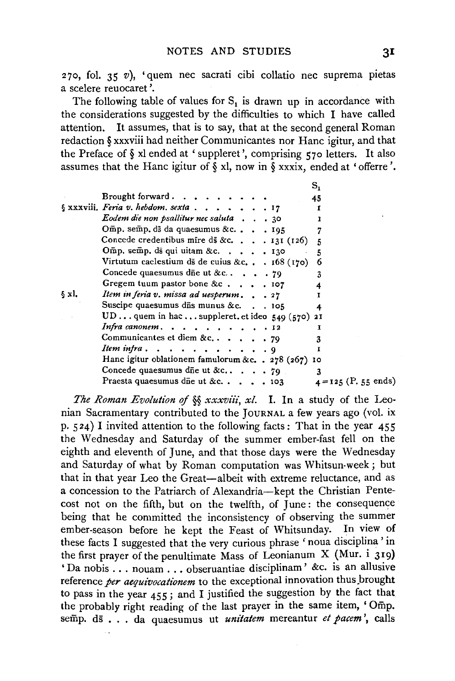270, fol. 35  $v$ ), 'quem nec sacrati cibi collatio nec suprema pietas a scelere reuocaret '.

The following table of values for  $S_1$  is drawn up in accordance with the considerations suggested by the difficulties to which I have called attention. It assumes, that is to say, that at the second general Roman redaction§ xxxviii had neither Communicantes nor Hane igitur, and that the Preface of§ xl ended at 'suppleret ', comprising 570 letters. It also assumes that the Hane igitur of § xl, now in § xxxix, ended at ' offerre '.

 $\mathbf{r}$ 

|       |                                                       |  | ີ່                     |
|-------|-------------------------------------------------------|--|------------------------|
|       | Brought forward. $\cdots$ $\cdots$ $\cdots$           |  | 45                     |
|       | § xxxviii. Feria v. hebdom. sexta 17                  |  |                        |
|       | Eodem die non psallitur nec saluta $\ldots$ , 30      |  |                        |
|       | Omp. semp. ds da quaesumus &c 195                     |  |                        |
|       | Concede credentibus mire ds &c. $\ldots$ , 131 (126)  |  | 5                      |
|       | Omp. semp. ds qui uitam &c. 130                       |  | 5                      |
|       | Virtutum caelestium ds de cuius &c. $168(170)$        |  | 6                      |
|       | Concede quaesumus die ut &c $\sqrt{79}$               |  | 3                      |
|       | Gregem tuum pastor bone &c $107$                      |  |                        |
| § xl. | Item in feria v. missa ad uesperum 27                 |  |                        |
|       | Suscipe quaesumus dis munus &c. 105                   |  |                        |
|       | UDquem in hacsuppleret.et ideo $549(570)$ 21          |  |                        |
|       | Infra canonem. $\ldots$ , 12                          |  | т                      |
|       | Communicantes et diem &c79                            |  |                        |
|       | Item infra. $\ldots$ , $\ldots$ , $\ldots$ , $\qquad$ |  |                        |
|       | Hanc igitur oblationem famulorum &c. . 278 (267) 10   |  |                        |
|       | Concede quaesumus die ut &c $\sqrt{79}$               |  | 3                      |
|       | Praesta quaesumus die ut &c $\cdots$                  |  | $4 = 125$ (P. 55 ends) |
|       |                                                       |  |                        |

*The Roman Evolution of* §§ *xxxviii, xl.* I. In a study of the Leonian Sacramentary contributed to the JOURNAL a few years ago (vol. ix p. 524) I invited attention to the following facts: That in the year 455 the Wednesday and Saturday of the summer ember-fast fell on the eighth and eleventh of June, and that those days were the Wednesday and Saturday of what by Roman computation was Whitsun-week; but that in that year Leo the Great-albeit with extreme reluctance, and as a concession to the Patriarch of Alexandria-kept the Christian Pentecost not on the fifth, but on the twelfth, of June: the consequence being that he committed the inconsistency of observing the summer ember-season before he kept the Feast of Whitsunday. In view of these facts I suggested that the very curious phrase ' noua disciplina ' in the first prayer of the penultimate Mass of Leonianum X (Mur. i 319) 'Da nobis ... nouam ... obseruantiae disciplinam' &c. is an allusive reference *per aequivocationem* to the exceptional innovation thus brought to pass in the year 455; and I justified the suggestion by the fact that the probably right reading of the last prayer in the same item, ' Omp. semp. ds • . . da quaesumus ut *uni'tatem* mereantur *et pacem* ', calls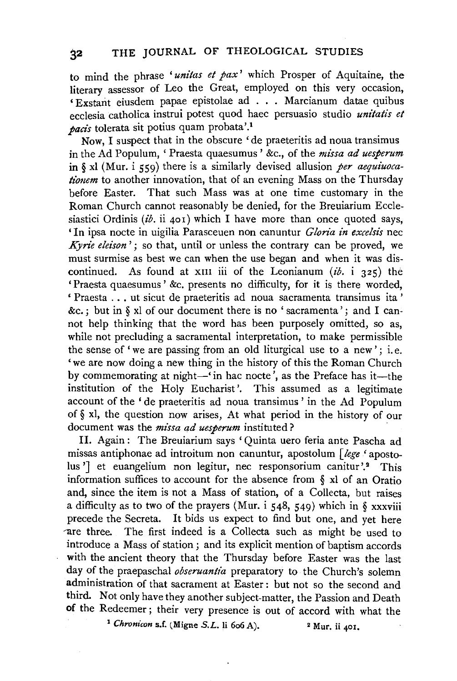to mind the phrase *'unitas et pax'* which Prosper of Aquitaine, the literary assessor of Leo the Great, employed on this very occasion. ' Exstarit eiusdem papae epistolae ad . . . Marcianum datae quibus ecclesia catholica instrui potest quod haec persuasio studio *unitatis et pacis* tolerata sit potius quam probata'.1

Now, I suspect that in the obscure 'de praeteritis ad noua transimus in the Ad Populum, ' Praesta quaesumus ' &c., of the *mi'ssa ad uesperum*  in§ xl (Mur. i 559) there is a similarly devised allusion *per aequiuocationem* to another innovation, that of an evening Mass on the Thursday before Easter. That such Mass was at one time customary in the Roman Church cannot reasonably be denied, for the Breuiarium Ecclesiastici Ordinis *(ib.* ii 401) which I have more than once quoted says, ' In ipsa nocte in uigilia Parasceuen non canuntur *Gloria in excelsis* nee *Kyrie eleison*'; so that, until or unless the contrary can be proved, we must surmise as best we can when the use began and when it was discontinued. As found at xm iii of the Leonianum  $(ib, i, 325)$  the 'Praesta quaesumus' &c. presents no difficulty, for it is there worded, ' Praesta ... ut sicut de praeteritis ad noua sacramenta transimus ita ' &c.; but in  $\delta$  xl of our document there is no 'sacramenta'; and I cannot help thinking that the word has been purposely omitted, so as, while not precluding a sacramental interpretation, to make permissible the sense of 'we are passing from an old liturgical use to a new'; i.e. 'we are now doing a new thing in the history of this the Roman Church by commemorating at night $-\tilde{ }$  in hac nocte<sup>7</sup>, as the Preface has it-the institution of the Holy Eucharist'. This assumed as a legitimate account of the 'de praeteritis ad noua transimus ' in the Ad Populum of§ xl, the question now arises, At what period in the history of our document was the *missa ad uesperum* instituted?

II. Again : The Breuiarium says 'Quinta uero feria ante Pascha ad missas antiphonae ad introitum non canuntur, apostolum *[lege* 'apostolus '] et euangelium non legitur, nec responsorium canitur '.<sup>2</sup> This information suffices to account for the absence from § xl of an Oratio and, since the item is not a Mass of station, of a Collecta, but raises a difficulty as to two of the prayers (Mur. i 548, 549) which in § xxxviii precede the Secreta. It bids us expect to find but one, and yet here  $\alpha$  are three. The first indeed is a Collecta such as might be used to introduce a Mass of station ; and its explicit mention of baptism accords with the ancient theory that the Thursday before Easter was the last day of the praepaschal *obseruantia* preparatory to the Church's solemn administration of that sacrament at Easter : but not so the second and third. Not only have they another subject-matter, the Passion and Death of the Redeemer; their very presence is out of accord with what the<br><sup>1</sup> *Chronicon* s.f. (Migne *S.L.* li 6o6 A). <sup>2</sup> Mur. ii 401.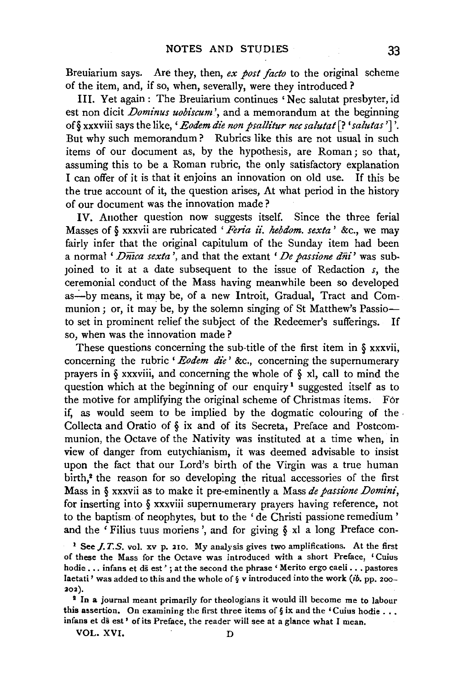Breuiarium says. Are they, then, *ex post facto* to the original scheme of the item, and, if so, when, severally, were they introduced ?

III. Yet again: The Breuiarium continues 'Nee salutat presbyter, id est non dicit *Dominus uobiscum'*, and a memorandum at the beginning of§ xxxviii says the like, *'Eodem die non psallz"tur nee salutat* [? *'salzdas* '] '. But why such memorandum? Rubrics like this are not usual in such items of our document as, by the hypothesis, are Roman; so that, assuming this to be a Roman rubric, the only satisfactory explanation I can offer of it is that it enjoins an innovation on old use. If this be the true account of it, the question arises, At what period in the history of our document was the innovation made ?

IV. Another question now suggests itself. Since the three ferial Masses of § xxxvii are rubricated 'Feria ii. hebdom. sexta' &c., we may fairly infer that the original capitulum of the Sunday item had been a normal ' *Dmca sexta* ', and that the extant ' *De passione diii'* was subjoined to it at a date subsequent to the issue of Redaction *s,* the ceremonial conduct of the Mass having meanwhile been so developed as-by means, it may be, of a new Introit, Gradual, Tract and Communion; or, it may be, by the solemn singing of St Matthew's Passioto set in prominent relief the subject of the Redeemer's sufferings. If so, when was the innovation made ?

These questions concerning the sub-title of the first item in § xxxvii, concerning the rubric ' *Eodem die'* &c., concerning the supernumerary prayers in § xxxviii, and concerning the whole of § xl, call to mind the question which at the beginning of our enquiry<sup>1</sup> suggested itself as to the motive for amplifying the original scheme of Christmas items. For if, as would seem to be implied by the dogmatic colouring of the . Collecta and Oratio of § ix and of its Secreta, Preface and Postcommunion, the Octave of the Nativity was instituted at a time when, in view of danger from eutychianism, it was deemed advisable to insist upon the fact that our Lord's birth of the Virgin was a true human birth,<sup>2</sup> the reason for so developing the ritual accessories of the first Mass in § xxxvii as to make it pre-eminently a Mass *de passione Domini,*  for inserting into § xxxviii supernumerary prayers having reference, not to the baptism· of neophytes, but to the ' de Christi passione remedium ' and the 'Filius tuus moriens ', and for giving § xl a long Preface con-

<sup>1</sup> See *J. T. S.* vol. xv p. 210. My analysis gives two amplifications. At the first of these the Mass for the Octave was introduced with a short Preface, 'Cuius hodie ... infans et ds est'; at the second the phrase 'Merito ergo caeli ... pastores Iaetati' was added to this and the whole of  $\S$  v introduced into the work (ib. pp. 200-202).

<sup>2</sup> In a journal meant primarily for theologians it would ill become me to labour this assertion. On examining the first three items of  $\S$  ix and the 'Cuius hodie ... infans et ds est' of its Preface, the reader will see at a glance what I mean.

VOL. XVI. D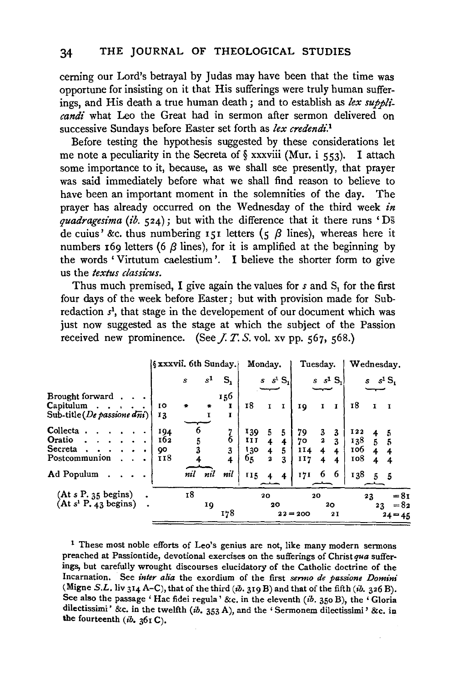ceming our Lord's betrayal by Judas may have been that the time was opportune for insisting on it that His sufferings were truly human sufferings, and His death a true human death; and to establish as *lex supplicandi* what Leo the Great had in sermon after sermon delivered on successive Sundays before Easter set forth as *lex credendi.*<sup>1</sup>

Before testing the hypothesis suggested by these considerations let me note a peculiarity in the Secreta of  $\S$  xxxviii (Mur. i 553). I attach some importance to it, because, as we shall see presently, that prayer was said immediately before what we shall find reason to believe to have been an important moment in the solemnities of the day. The prayer has already occurred on the Wednesday of the third week *in quadragesima (ib.* 524); but with the difference that it there runs 'Ds de cuius' &c. thus numbering 151 letters (5  $\beta$  lines), whereas here it numbers 169 letters (6  $\beta$  lines), for it is amplified at the beginning by the words ' Virtutum caelestium '. I believe the shorter form to give us the *textus classicus.* 

Thus much premised, I give again the values for *s* and S<sub>1</sub> for the first four days of the week before Easter; but with provision made for Subredaction *s1,* that stage in the developement of our document which was just now suggested as the stage at which the subject of the Passion received new prominence. (See  $I, T, S$ , vol. xv pp.  $567, 568$ .)

|                                                         | §xxxvii. 6th Sunday.}   |     |       |                                      | Monday.                |                                                              |                 | Tuesday.               |                                        |                  |                                 |                     | Wednesday.                    |
|---------------------------------------------------------|-------------------------|-----|-------|--------------------------------------|------------------------|--------------------------------------------------------------|-----------------|------------------------|----------------------------------------|------------------|---------------------------------|---------------------|-------------------------------|
|                                                         |                         | s   | $s^1$ | $\mathbf{S_{i}}$                     |                        |                                                              | $s$ $s^1$ $S_1$ |                        |                                        | $s$ $s1$ S,      |                                 | s                   | $s^1S_1$                      |
| Brought forward                                         |                         |     |       | 156                                  |                        |                                                              |                 |                        |                                        |                  |                                 |                     |                               |
| Capitulum<br>Sub-title (De passione dni)                | IО<br>13                | ÷   | ۰     | I                                    | 18                     | $\mathbf{I}$                                                 | I               | IQ                     | 1                                      | I                | 18                              | I                   | $\mathbf{I}$                  |
| Collecta<br>Oratio<br>Secreta<br>Postcommunion          | 194<br>162<br>90<br>II8 | 5   |       | $\frac{7}{6}$<br>3<br>$\overline{4}$ | 139<br>II<br>130<br>65 | 5<br>4<br>$\overline{\mathbf{r}}$<br>$\overline{\mathbf{a}}$ | 5<br>5<br>3     | 79<br>70<br>114<br>117 | 3<br>$\overline{\mathbf{2}}$<br>4<br>4 | 3<br>3<br>4<br>4 | 122<br>138<br>106<br><b>108</b> | $\overline{5}$<br>4 | 5<br>5                        |
| Ad Populum                                              |                         | nil | nil   | nil                                  | 115                    |                                                              | 4               | 171                    | 6                                      | -6               | 138                             | 5.                  | -5                            |
| (At s P. 35 begins)<br>(At s <sup>1</sup> P, 43 begins) |                         | 18  | 19    | 178                                  |                        | 20<br>20                                                     |                 | $22 = 200$             | 20                                     | 20<br>2I         |                                 | 23<br>23            | $= 8i$<br>$= 82$<br>$24 = 45$ |

<sup>1</sup> These most noble efforts of Leo's genius are not, like many modern sermons preached at Passion tide, devotional exercises on the sufferings of Christ *qua* sufferings, but carefully wrought discourses elucidatory of the Catholic doctrine of the Incarnation. See *inter alia* the exordium of the first *senno de passione Domini*  (Migne S.L. liv 314 A-C), that of the third  $(ib. 319 B)$  and that of the fifth  $(ib. 326 B)$ . See also the passage 'Hac fidei regula' &c. in the eleventh (ib. 350 B), the 'Gloria dilectissimi' &c. in the twelfth (ib. 353 A), and the 'Sermonem dilectissimi' &c. in the fourteenth  $(ib. 361 C)$ .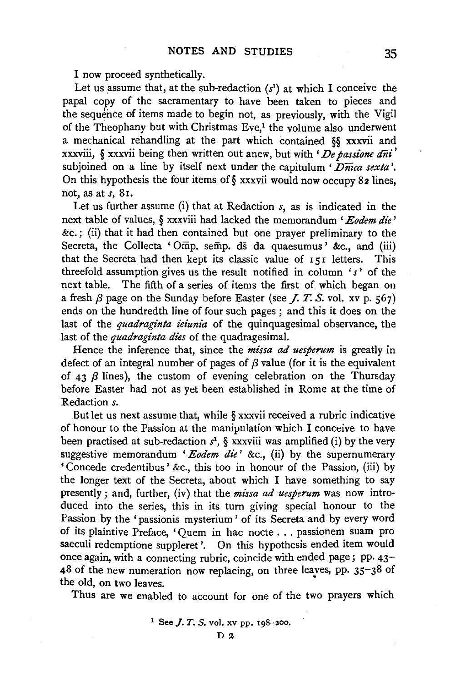I now proceed synthetically.

Let us assume that, at the sub-redaction  $(s<sup>1</sup>)$  at which I conceive the papal copy of the sacramentary to have been taken to pieces and the sequence of items made to begin not, as previously, with the Vigil of the Theophany but with Christmas Eve,<sup>1</sup> the volume also underwent a mechanical rehandling at the part which contained §§ xxxvii and xxxviii, § xxxvii being then written out anew, but with *' De passione dni'* subjoined on a line by itself next under the capitulum *'Dmca sexta* '. On this hypothesis the four items of  $\S$  xxxvii would now occupy 82 lines, not, as at *s,* 81.

Let us further assume (i) that at Redaction *s,* as is indicated in the next table of values, § xxxviii had lacked the memorandum *'Eodem die'*  &c.; (ii) that it had then contained but one prayer preliminary to the Secreta, the Collecta 'Omp. semp. ds da quaesumus' &c., and (iii) that the Secreta had then kept its classic value of 151 letters. This threefold assumption gives us the result notified in column *'s'* of the next table. The fifth of a series of items the first of which began on a fresh  $\beta$  page on the Sunday before Easter (see *J. T. S.* vol. xv p. 567) ends on the hundredth line of four such pages ; and this it does on the last of the *quadraginta ieiunia* of the quinquagesimal observance, the last of the *quadraginta dies* of the quadragesimal.

Hence the inference that, since the *missa ad uesperum* is greatly in defect of an integral number of pages of  $\beta$  value (for it is the equivalent of 43  $\beta$  lines), the custom of evening celebration on the Thursday before Easter had not as yet been established in Rome at the time of Redaction *s.* 

:But let us next assume that, while § xxxvii received a rubric indicative of honour to the Passion at the manipulation which I conceive to have been practised at sub-redaction  $s^1$ ,  $\S$  xxxviii was amplified (i) by the very suggestive memorandum 'Eodem die' &c., (ii) by the supernumerary •Concede credentibus' &c., this too in honour of the Passion, (iii) by the longer text of the Secreta, about which I have something to say presently; and, further, (iv) that the *missa ad uesperum* was now introduced into the series, this in its turn giving special honour to the Passion by the 'passionis mysterium' of its Secreta and by every word of its plaintive Preface, 'Quern in hac nocte ... passionem suam pro saeculi redemptione suppleret '. On this hypothesis ended item would once again, with a connecting rubric, coincide with ended page; pp. 43-  $48$  of the new numeration now replacing, on three leaves, pp. 35-38 of the old, on two leaves.

Thus are we enabled to account for one of the two prayers which

<sup>1</sup> See *J. T. S.* vol. xv pp.  $198-200$ .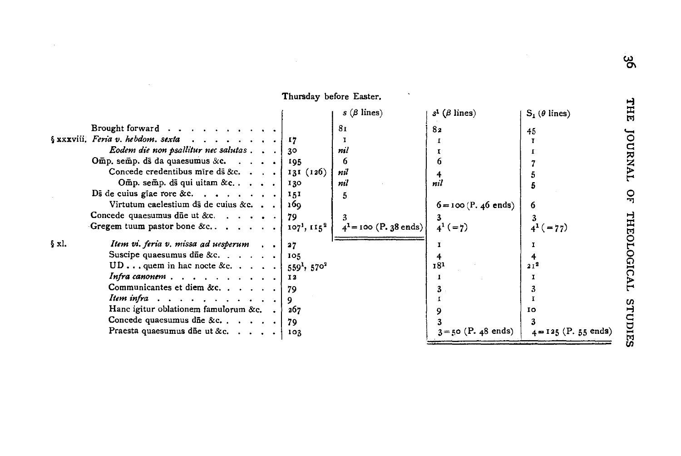|       |                                                           |           | $s$ ( $\beta$ lines)     | $s^1$ ( $\beta$ lines) | $S_1(\theta \text{ lines})$ |
|-------|-----------------------------------------------------------|-----------|--------------------------|------------------------|-----------------------------|
|       | Brought forward                                           |           | 81                       | 82                     | 45                          |
|       |                                                           |           |                          |                        |                             |
|       | Eodem die non psallitur nec salutas $\ldots$ 30           |           | nil                      |                        |                             |
|       | Omp. semp. ds da quaesumus &c. $\ldots$ .                 | 195       | 6                        |                        |                             |
|       | Concede credentibus mire ds &c. [ 131 (126)               |           | nil                      |                        |                             |
|       | Omp. semp. ds qui uitam & c. $\ldots$ .                   | 130       | nil                      | nil                    |                             |
|       | Ds de cuius giae rore &c. $\vert$                         | 151       |                          |                        |                             |
|       | Virtutum caelestium di de cuius & c                       | 160       |                          | $6 = 100$ (P. 46 ends) | 6                           |
|       | Concede quaesumus die ut &c. $\ldots$ , $\ldots$          | 79        |                          |                        | 3                           |
|       | Gregem tuum pastor bone &c $\{107^3, 115^2\}$             |           | $4^1$ = 100 (P. 38 ends) | $4^{1} (=7)$           | $4^{1}$ ( = 77)             |
| § xl. | <i>Item vi. feria v. missa ad uesperum</i> $\blacksquare$ | 27        |                          |                        |                             |
|       | Suscipe quaesumus die &c. $\ldots$ , $\ldots$             | 105       |                          |                        |                             |
|       | UD quem in hac nocte &c. $ 559^1, 570^2$                  |           |                          | 181                    | 21 <sup>2</sup>             |
|       | Infra canonem $\ldots$ , $\ldots$ , $\ldots$              | <b>I2</b> |                          |                        |                             |
|       | Communicantes et diem &c. 79                              |           |                          |                        |                             |
|       | Item infra $\ldots$ , $\ldots$ , $\ldots$ , $\ldots$      |           |                          |                        |                             |
|       | Hanc igitur oblationem famulorum &c. $\Box$               | 267       |                          |                        | 10                          |
|       | Concede quaesumus die &c. $\ldots$ ,                      | 79        |                          |                        |                             |
|       | Praesta quaesumus die ut &c.                              | -103      |                          | $3 = 50$ (P. 48 ends)  | $4 = 125$ (P. 55 ends)      |

Thursday before Easter.

 $\hat{\phantom{a}}$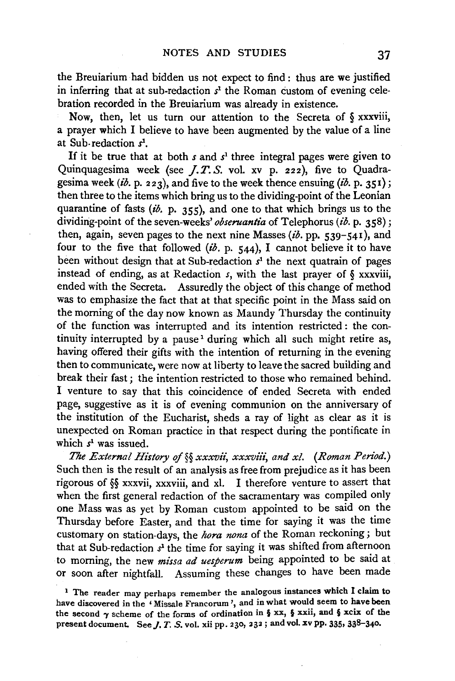the Breuiarium had bidden us not expect to find : thus are we justified in inferring that at sub-redaction  $s<sup>1</sup>$  the Roman custom of evening celebration recorded in the Breuiarium was already in existence.

Now, then, let us turn our attention to the Secreta of § xxxviii, a prayer which I believe to have been augmented by the value of a line at Sub-redaction  $s^1$ .

If it be true that at both  $s$  and  $s<sup>1</sup>$  three integral pages were given to Quinquagesima week (see *].T.S.* vol. xv p. 222), five to Quadragesima week *(ib.* p. 223), and five to the week thence ensuing *(ib.* p. 351}; then three to the items which bring us to the dividing-point of the Leonian quarantine of fasts *(ib. p.* 355), and one to that which brings us to the dividing-point of the seven-weeks' *obseruantia* of Telephorus *(ib.* p. 358); then, again, seven pages to the next nine Masses (ib. pp. 539-541), and four to the five that followed  $(i\delta$ . p. 544), I cannot believe it to have been without design that at Sub-redaction *s1* the next quatrain of pages instead of ending, as at Redaction *s,* with the last prayer of § xxxviii, ended with the Secreta. Assuredly the object of this change of method was to emphasize the fact that at that specific point in the Mass said on the morning of the day now known as Maundy Thursday the continuity of the function was interrupted and its intention restricted : the continuity interrupted by a pause<sup>1</sup> during which all such might retire as, having offered their gifts with the intention of returning in the evening then to communicate, were now at liberty to leave the sacred building and break their fast; the intention restricted to those who remained behind. I venture to say that this coincidence of ended Secreta with ended page, suggestive as it is of evening communion on the anniversary of the institution of the Eucharist, sheds a ray of light as clear as it is unexpected on Roman practice in that respect during the pontificate in which *s1* was issued.

*The External History of* §§ xxxvii, xxxviii, and xl. (Roman Period.) Such then is the result of an analysis as free from prejudice as it has been rigorous of §§ xxxvii, xxxviii, and xl. I therefore venture to assert that when the first general redaction of the sacramentary was compiled only one Mass was as yet by Roman custom appointed to be said on the Thursday before Easter, and that the time for saying it was the time customary on station-days, the *hora nona* of the Roman reckoning ; but that at Sub-redaction *s*1 the time for saying it was shifted from afternoon to morning, the new *missa ad uesperum* being appointed to be said at or soon after nightfall. Assuming these changes to have been made

<sup>&</sup>lt;sup>1</sup> The reader may perhaps remember the analogous instances which I claim to have discovered in the 'Missale Francorum', and in what would seem to have been the second  $\gamma$  scheme of the forms of ordination in § xx, § xxii, and § xcix of the present document. See  $J$ .  $T$ .  $S$ . vol. xii pp. 230, 232; and vol. xv pp. 335, 338-340.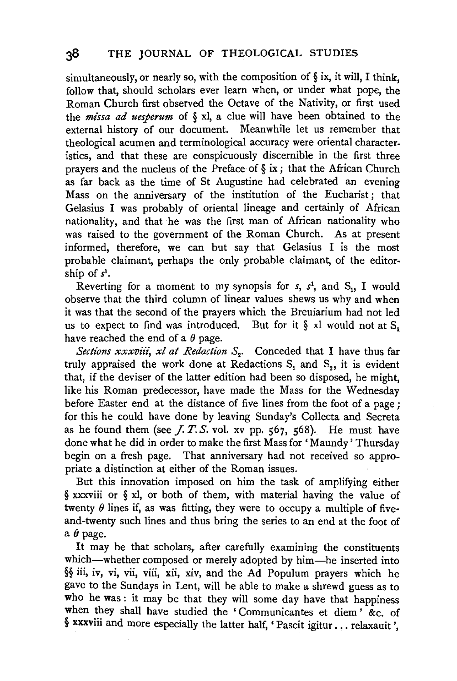simultaneously, or nearly so, with the composition of  $\S$  ix, it will, I think. follow that, should scholars ever learn when, or under what pope, the Roman Church first observed the Octave of the Nativity, or first used the *missa ad uesperum* of  $\S$  xl, a clue will have been obtained to the external history of our document. Meanwhile let us remember that theological acumen and terminological accuracy were oriental characteristics, and that these are conspicuously discernible in the first three prayers and the nucleus of the Preface of  $\S$  ix; that the African Church as far back as the time of St Augustine had celebrated an evening Mass on the anniversary of the institution of the Eucharist; that Gelasius I was probably of oriental lineage and certainly of African nationality, and that he was the first man of African nationality who was raised to the government of the Roman Church. As at present informed, therefore, we can but say that Gelasius I is the most probable claimant, perhaps the only probable claimant, of the editorship of *s*1•

Reverting for a moment to my synopsis for  $s$ ,  $s<sup>1</sup>$ , and  $S<sub>1</sub>$ , I would observe that the third column of linear values shews us why and when it was that the second of the prayers which the Breuiarium had not led us to expect to find was introduced. But for it  $\S$  xl would not at  $S_1$ have reached the end of a  $\theta$  page.

*Sections xxxviii, xl at Redaction S<sub>2</sub>.* Conceded that I have thus far truly appraised the work done at Redactions  $S_1$  and  $S_2$ , it is evident that, if the deviser of the latter edition had been so disposed, he might, like his Roman predecessor, have made the Mass for the Wednesday before Easter end at the distance of five lines from the foot of a page; for this he could have done by leaving Sunday's Collecta and Secreta as he found them (see  $J. T. S.$  vol. xv pp.  $567, 568$ ). He must have done what he did in order to make the first Mass for 'Maundy' Thursday begin on a fresh page. That anniversary had not received so appropriate a distinction at either of the Roman issues.

But this innovation imposed on him the task of amplifying either § xxxviii or § xl, or both of them, with material having the value of twenty  $\theta$  lines if, as was fitting, they were to occupy a multiple of fiveand-twenty such lines and thus bring the series to an end at the foot of a  $\theta$  page.

It may be that scholars, after carefully examining the constituents which—whether composed or merely adopted by him—he inserted into §§ iii, iv, vi, vii, viii, xii, xiv, and the Ad Populum prayers which he gave to the Sundays in Lent, will be able to make a shrewd guess as to who he was : it may be that they will some day have that happiness when they shall have studied the 'Communicantes et diem' &c. of § xxxviii and more especially the latter half, ' Pascit igitur ... relaxauit ',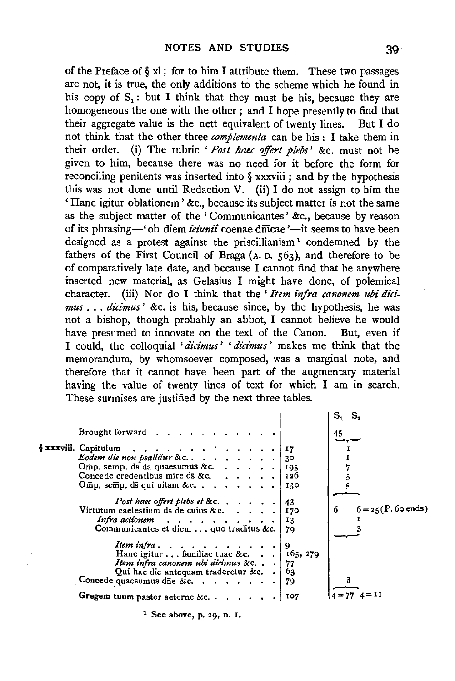of the Preface of  $\S$  xl; for to him I attribute them. These two passages are not, it is true, the only additions to the scheme which he found in his copy of  $S_1$ : but I think that they must be his, because they are homogeneous the one with the other ; and I hope presently to find that their aggregate value is the nett equivalent of twenty lines. But I do not think that the other three *complementa* can be his : I take them in their order. (i) The rubric *'Post haec offert plebs'* &c. must not be given to him, because there was no need for it before the form for reconciling penitents was inserted into  $\delta$  xxxviii ; and by the hypothesis this was not done until Redaction V. (ii) I do not assign to him the ' Hane igitur oblationem ' &c., because its subject matter is not the same as the subject matter of the ' Communicantes ' &c., because by reason of its phrasing—' ob diem *ieiunii* coenae diicae '—it seems to have been designed as a protest against the priscillianism<sup>1</sup> condemned by the fathers of the First Council of Braga (A. D. 563), and therefore to be of comparatively late date, and because I cannot find that he anywhere inserted new material, as Gelasius I might have done, of polemical character. (iii) Nor do I think that the 'Item infra canonem ubi dici*mus* .•. *dicimus* ' &c. is his, because since, by the hypothesis, he was not a bishop, though probably an abbot, I cannot believe he would have presumed to innovate on the text of the Canon. But, even if I could, the colloquial *'didmus'* ' *dii:i'mus* ' makes me think that the memorandum, by whomsoever composed, was a marginal note, and therefore that it cannot have been part of the augmentary material having the value of twenty lines of text for which I am in search. These surmises are justified by the next three tables.

|                                                           |  |      | S,<br>s.                          |
|-----------------------------------------------------------|--|------|-----------------------------------|
| Brought forward $\cdots$ , $\cdots$ , $\cdots$            |  |      | 45                                |
| $\frac{1}{2}$ xxxviii. Capitulum                          |  |      |                                   |
| Eodem die non psallitur & c. 30                           |  |      |                                   |
|                                                           |  |      |                                   |
| Concede credentibus mire ds &c. $\ldots$ , $\ldots$ , 126 |  |      |                                   |
| $Omp$ , semp, ds qui uitam &c.                            |  | 130  |                                   |
|                                                           |  |      |                                   |
| Post haec offert plebs et &c. $\ldots$ , 143              |  |      |                                   |
| Virtutum caelestium ds de cuius &c. $\cdots$              |  | 170  | $6 = 25(P, 60 \text{ ends})$<br>6 |
| Infra actionem $\cdots$ $\cdots$ $\cdots$                 |  | 13   |                                   |
| Communicantes et diem  quo traditus &c.   79              |  |      |                                   |
| Item infra, $\ldots$ , $\ldots$ , $\ldots$                |  | - 19 |                                   |
| Hanc igitur familiae tuae &c. 165, 279                    |  |      |                                   |
| Item infra canonem ubi dicimus &c. $\,$ .   77            |  |      |                                   |
| Qui hac die antequam traderetur &c. $\cdot$   63          |  |      |                                   |
| Concede quaesumus die &c. 79                              |  |      |                                   |
| Gregem tuum pastor aeterne &c. $\ldots$ .                 |  | 107  |                                   |
|                                                           |  |      |                                   |

1 See above, p. 29, n. l.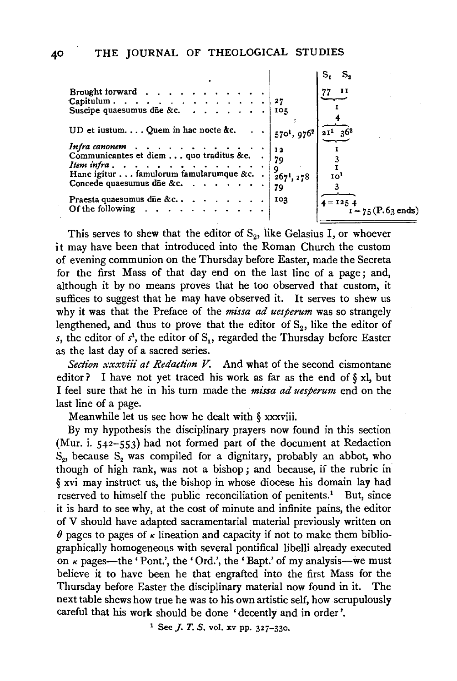|                                                      |                           | s.                      |
|------------------------------------------------------|---------------------------|-------------------------|
|                                                      |                           |                         |
|                                                      | IOR                       |                         |
| UD et iustum Quem in hac nocte &c.                   | $5701$ , 976 <sup>2</sup> | $\frac{21^{1}}{36^{2}}$ |
|                                                      |                           |                         |
|                                                      | 79                        |                         |
| Concede quaesumus die &c. $\cdots$ $\cdots$ $\cdots$ | 79                        | 10 <sup>1</sup>         |
|                                                      | 103                       | $4 = 1254$              |
|                                                      |                           | $I = 75$ (P.63 ends)    |

This serves to shew that the editor of  $S_2$ , like Gelasius I, or whoever it may have been that introduced into the Roman Church the custom of evening communion on the Thursday before Easter, made the Secreta for the first Mass of that day end on the last line of a page; and, although it by no means proves that he too observed that custom, it suffices to suggest that he may have observed it. It serves to shew us why it was that the Preface of the *missa ad uesperum* was so strangely lengthened, and thus to prove that the editor of  $S_2$ , like the editor of *s*, the editor of  $s<sup>1</sup>$ , the editor of S<sub>1</sub>, regarded the Thursday before Easter as the last day of a sacred series.

*Section xxxviii at Redaction V.* And what of the second cismontane editor? I have not yet traced his work as far as the end of  $\S$  xl, but I feel sure that he in his turn made the *missa ad uesperum* end on the last line of a page.

Meanwhile let us see how he dealt with *§* xxxviii.

By my hypothesis the disciplinary prayers now found in this section (Mur. i. 542-553) had not formed part of the document at Redaction  $S_{2}$ , because  $S_{2}$  was compiled for a dignitary, probably an abbot, who though of high rank, was not a bishop; and because, if the rubric in *§* xvi may instruct us, the bishop in whose diocese his domain lay had reserved to himself the public reconciliation of penitents.<sup>1</sup> But, since it is hard to see why, at the cost of minute and infinite pains, the editor of V should have adapted sacramentarial material previously written on  $\theta$  pages to pages of  $\kappa$  lineation and capacity if not to make them bibliographically homogeneous with several pontifical libelli already executed on  $\kappa$  pages—the 'Pont.', the 'Ord.', the 'Bapt.' of my analysis—we must believe it to have been he that engrafted into the first Mass for the Thursday before Easter the disciplinary material now found in it. The next table shews how true he was to his own artistic self, how scrupulously careful that his work should be done 'decently and in order'.

<sup>1</sup> See *J. T. S.* vol. xv pp. 327-330.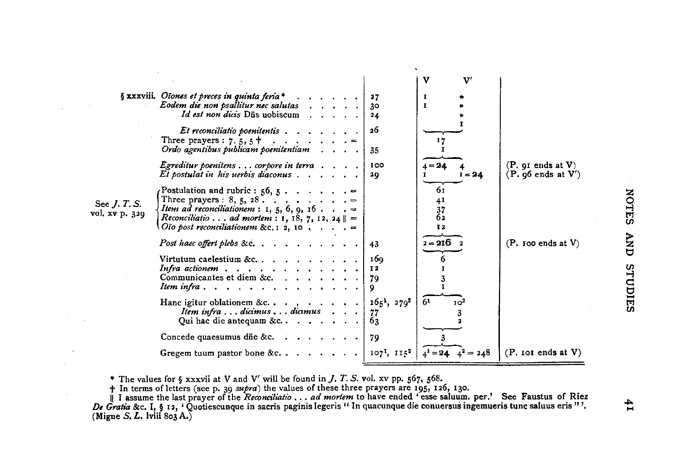|                                       |                                                                                                                                                                                                                                                                                                                        |                             | v<br>$\mathbf{v}$                 |                                              |
|---------------------------------------|------------------------------------------------------------------------------------------------------------------------------------------------------------------------------------------------------------------------------------------------------------------------------------------------------------------------|-----------------------------|-----------------------------------|----------------------------------------------|
|                                       | $\S$ xxxviii. Oiones et preces in quinta feria *<br>Eodem die non psallitur nec salutas<br>Id est non dicis Dūs uobiscum                                                                                                                                                                                               | 27<br>30<br>24              | 1<br>r.                           |                                              |
|                                       | Et reconciliatio poenitentis<br>Three prayers : $7, 5, 5$ +<br>سيان والوالون والوالو<br>Ordo agentibus publicam poenitentiam contactor contactor contactor contactor contactor contactor contactor contactor contactor contactor contactor contactor contactor contactor contactor contactor contactor contactor conta | 26<br>35                    |                                   |                                              |
|                                       | <i>Egreditur poenitens</i> $\ldots$ <i>corpore in terra</i> $\ldots$ $\ldots$<br>Et postulat in his uerbis diaconus $\dots$ ,                                                                                                                                                                                          | 100<br>20                   | $4 = 24$<br>$I = 24$              | (P. qI ends at V)<br>$(P. 96$ ends at $V'$ ) |
| See <i>J. T. S.</i><br>vol. xv p. 329 | Postulation and rubric : $56, 5$ . =<br>Three prayers: $8, 5, 28$ . =<br><i>Item ad reconciliationem</i> : 1, 5, 6, 9, 16 =<br><i>Reconciliatio ad mortem</i> : 1, 18, 7, 12, 24 $\ $ =<br>Oio post reconciliationem &c.: 2, 10 $\ldots$ .                                                                             |                             | 61<br>41<br>$\frac{37}{62}$<br>12 |                                              |
|                                       | Post haec offert plebs &c.                                                                                                                                                                                                                                                                                             | 43                          | $2 - 216$ 2                       | $(P. \text{loo ends at } V)$                 |
|                                       | Virtutum caelestium &c<br>Infra actionem<br>Communicantes et diem &c. $\ldots$ , $\ldots$<br>Item infra                                                                                                                                                                                                                | 169<br>12<br>79<br>9        |                                   |                                              |
|                                       | Hanc igitur oblationem &c, $\ldots$<br>Item infra  dicimus  dicimus<br>Qui hac die antequam &c. $\cdots$ $\cdots$                                                                                                                                                                                                      | $1651$ , $2792$<br>77<br>63 | 61<br>10 <sup>2</sup>             |                                              |
|                                       | Concede quaesumus die &c. $\cdots$ $\cdots$ $\cdots$                                                                                                                                                                                                                                                                   | 79                          |                                   |                                              |
|                                       | Gregem tuum pastor bone &c                                                                                                                                                                                                                                                                                             | $107^{1}$ , $115^{2}$       | $= 248$                           | $(P.$ IoI ends at $V$ )                      |

 $\ddot{\phantom{a}}$ 

\* The values for § xxxvii at V and V' will be found *in].* T. S. vol. xv pp. 567, 568.

 $\mathcal{L}$  $\mathcal{L}$ 

In terms of letters (see p. 30 supra) the values of these three prayers are 195, 126, 130.<br>
| I assume the last prayer of the Reconciliatio . . . ad mortem to have ended 'esse saluum. per.' See Faustus of Riez<br>
De Gratia &

 $\mathbf{f}$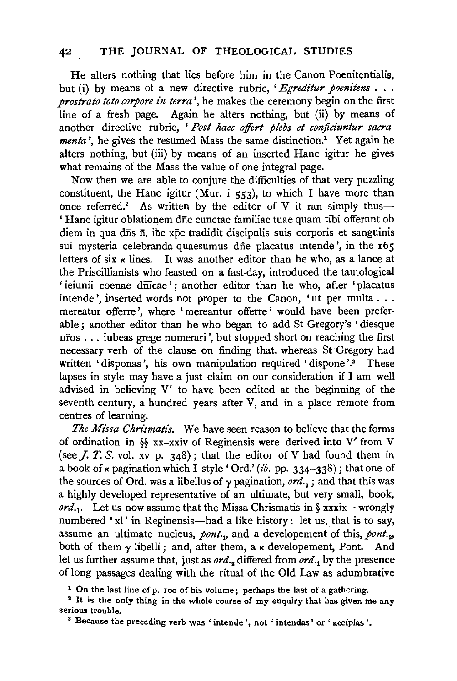He alters nothing that lies before him in the Canon Poenitentialis, but (i) by means of a new directive rubric, 'Egreditur poenitens . . . *prostrato toto corpore in terra* ', he makes the ceremony begin on the first line of a fresh page. Again he alters nothing, but (ii) by means of another directive rubric, *'Post haec offert plebs et conficiuntur sacramenta'*, he gives the resumed Mass the same distinction.<sup>1</sup> Yet again he alters nothing, but (iii) by means of an inserted Hane igitur he gives what remains of the Mass the value of one integral page.

Now then we are able to conjure the difficulties of that very puzzling constituent, the Hanc igitur (Mur. i  $553$ ), to which I have more than once referred.<sup>2</sup> As written by the editor of V it ran simply thus-' Hane igitur oblationem dne cunctae familiae tuae quam tibi offerunt ob diem in qua d $\bar{n}$ s  $\bar{n}$ , ihc xpc tradidit discipulis suis corporis et sanguinis sui mysteria celebranda quaesumus dñe placatus intende', in the 165 letters of six  $\kappa$  lines. It was another editor than he who, as a lance at the Priscillianists who feasted on a fast-day, introduced the tautological 'ieiunii coenae dnicae'; another editor than he who, after 'placatus intende ', inserted words not proper to the Canon, 'ut per multa . . . mereatur offerre ', where ' mereantur offerre ' would have been preferable ; another editor than he who began to add St Gregory's 'diesque nfos ... iubeas grege numerari ', but stopped short on reaching the first necessary verb of the clause on finding that, whereas St Gregory had written 'disponas', his own manipulation required 'dispone'.<sup>5</sup> These lapses in style may have a just claim on our consideration if I am well advised in believing V' to have been edited at the beginning of the seventh century, a hundred years after V, and in a place remote from centres of learning.

The Missa Chrismatis. We have seen reason to believe that the forms of ordination in §§ xx-xxiv of Reginensis were derived into V' from V (see *J. T. S.* vol. xv p. 348); that the editor of V had found them in a book of  $\kappa$  pagination which I style 'Ord.' (ib. pp. 334-338); that one of the sources of Ord. was a libellus of  $\gamma$  pagination, ord.,  $\gamma$  and that this was a highly developed representative of an ultimate, but very small, book, ord.<sub>1</sub>. Let us now assume that the Missa Chrismatis in § xxxix-wrongly numbered 'xl' in Reginensis-had a like history: let us, that is to say, assume an ultimate nucleus, *pont.*, and a developement of this, *pont.*, both of them  $\gamma$  libelli; and, after them, a  $\kappa$  developement, Pont. And let us further assume that, just as *ord. <sup>2</sup>*differed from *ord. <sup>1</sup>*by the presence of long passages dealing with the ritual of the Old Law as adumbrative

<sup>1</sup> On the last line of p. 100 of his volume; perhaps the last of a gathering.<br><sup>2</sup> It is the only thing in the whole course of my enquiry that has given me any serious trouble.<br><sup>3</sup> Because the preceding verb was ' intende ', not ' intendas' or ' accipias '.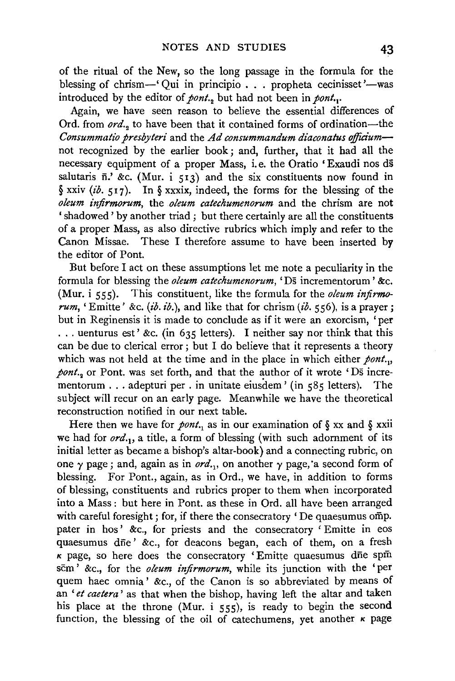of the ritual of the New, so the long passage in the formula for the blessing of chrism-' Qui in principio . . . propheta cecinisset '-was introduced by the editor of *pont*... but had not been in *pont*...

Again, we have seen reason to believe the essential differences of Ord. from *ord.*, to have been that it contained forms of ordination-the *Consummatio presbyteri* and the *Ad consummandum diaconatus ojfia'um*not recognized by the earlier book ; and, further, that it had all the necessary equipment of a proper Mass, i.e. the Oratio 'Exaudi nos ds salutaris  $\bar{n}$ . &c. (Mur. i 513) and the six constituents now found in § xxiv *(ib.* 517). In § xxxix, indeed, the forms for the blessing of the *oleum injirmorum,* the *oleum catechumenorum* and the chrism are not 'shadowed' by another triad ; but there certainly are all the constituents of a proper Mass, as also directive rubrics which imply and refer to the Canon Missae. These I therefore assume to have been inserted by the editor of Pont.

But before I act on these assumptions let me note a peculiarity in the formula for blessing the *oleum catechumenorum,* 'Ds incrementorum ' &c. (Mur. i 555). This constituent, like the formula for the *oleum infirmorum,* 'Emitte' &c. *(ib. ib.),* and like that for chrism *(ib.* 556), is a prayer; but in Reginensis it is made to conclude as if it were an exorcism, 'per ... uenturus est' &c. (in 635 letters). I neither say nor think that this can be due to clerical error; but I do believe that it represents a theory which was not held at the time and in the place in which either *pont*... *pont.*, or Pont. was set forth, and that the author of it wrote 'Ds incrementorum . . . adepturi per . in unitate eiusdem ' (in  $585$  letters). The subject will recur on an early page. Meanwhile we have the theoretical reconstruction notified in our next table.

Here then we have for *pont*... as in our examination of  $\S$  xx and  $\S$  xxii we had for *ord.*1, a title, a form of blessing (with such adornment of its initial letter as became a bishop's altar-book) and a connecting rubric, on one  $\gamma$  page; and, again as in *ord.*,, on another  $\gamma$  page, a second form of blessing. For Pont., again, as in Ord., we have, in addition to forms of blessing, constituents and rubrics proper to them when incorporated into a Mass : but here in Pont. as these in Ord. all have been arranged with careful foresight; for, if there the consecratory 'De quaesumus omp. pater in hos' &c., for priests and the consecratory 'Emitte in eos quaesumus die' &c., for deacons began, each of them, on a fresh  $\kappa$  page, so here does the consecratory ' Emitte quaesumus dne spin scm' &c., for the *oleum injirmorum,* while its junction with the 'per quem haec omnia' &c., of the Canon is so abbreviated by means of an *'et caetera'* as that when the bishop, having left the altar and taken his place at the throne (Mur. i 555), is ready to begin the second function, the blessing of the oil of catechumens, yet another  $\kappa$  page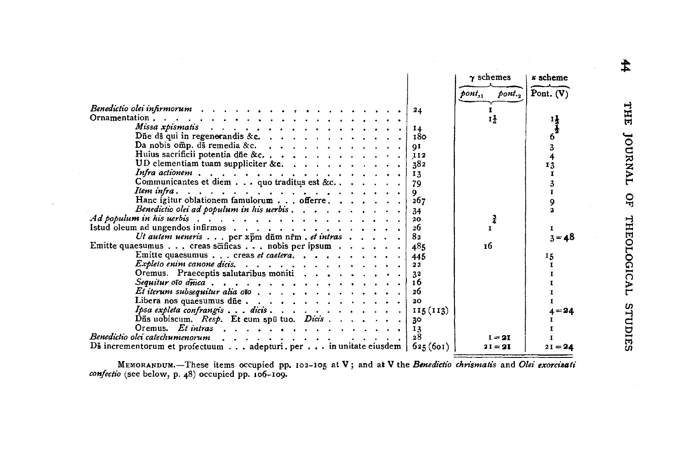|                                                                                                                      | $\gamma$ schemes               | k scheme    |
|----------------------------------------------------------------------------------------------------------------------|--------------------------------|-------------|
|                                                                                                                      | pont, 1<br>$p_{\text{out.}_2}$ | Pont. $(V)$ |
|                                                                                                                      | г                              |             |
| 24                                                                                                                   | 14                             |             |
| Missa xpismatis recented a recent contract to the second state of the state of the state of the state of the s<br>14 |                                | ų           |
| 180                                                                                                                  |                                | 6           |
| Da nobis omp. ds remedia &c. $\ldots$ $\ldots$ $\ldots$ $\ldots$ $\ldots$<br>91                                      |                                |             |
| Huius sacrificii potentia dñe &c.<br>112                                                                             |                                | 3           |
| UD clementiam tuam suppliciter &c.<br>382                                                                            |                                | 4<br>13     |
| 13                                                                                                                   |                                |             |
| Communicantes et diem quo traditus est &c.<br>79                                                                     |                                |             |
| Item infra. $\ldots$ ,                                                                                               |                                | 3<br>T      |
| 9.<br>Hanc igitur oblationem famulorum offerre.<br>267                                                               |                                |             |
| Benedictio olei ad populum in his uerbis $\ldots$ , $\ldots$ , $\ldots$ , $\ldots$<br>34                             |                                | 9           |
| 20 <sub>o</sub>                                                                                                      | 콜                              |             |
| 26<br>Istud oleum ad ungendos infirmos                                                                               |                                | 1           |
| 8 <sub>2</sub><br>Ut autem ueneris per $x \bar{p}$ m d $\bar{n}$ m n $\bar{r}$ m . et intras                         |                                | $3 = 48$    |
| Emitte quaesumus creas scificas nobis per ipsum $\cdots$<br>485                                                      | тб                             |             |
| Emitte quaesumus creas et caetera.                                                                                   |                                |             |
| 445<br>22                                                                                                            |                                | 15          |
| Oremus. Praeceptis salutaribus moniti<br>32                                                                          |                                |             |
| 16                                                                                                                   |                                |             |
| 26                                                                                                                   |                                |             |
| 20                                                                                                                   |                                |             |
| Ipsa expleta confrangis dicis<br>115(113)                                                                            |                                |             |
| Dūs uobiscum. Resp. Et cum spū tuo. Dicis                                                                            |                                | $4 = 24$    |
| 30<br>Oremus. Et intras $\cdots$ , $\cdots$ , $\cdots$ , $\cdots$ , $\cdots$                                         |                                |             |
| 13<br>Benedictio olei catechumenorum<br>28                                                                           | $I = 2I$                       |             |
| Ds incrementorum et profectuum  adepturi.per  in unitate eiusdem   $625(601)$                                        | $2I = 2I$                      | $21 = 24$   |
|                                                                                                                      |                                |             |

MEMORANDUM.—These items occupied pp. 102-105 at V; and at V the *Benedictio chrismatis* and *Olei exorcizati confectio* (see below, p. 48) occupied pp. 106-100.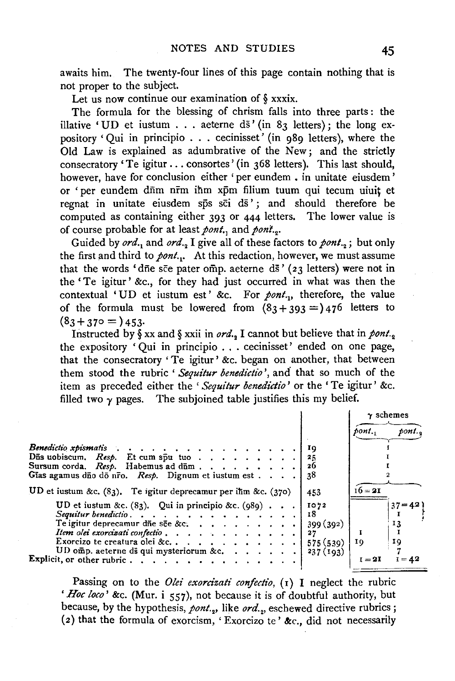awaits him. The twenty-four lines of this page contain nothing that is not proper to the subject.

Let us now continue our examination of § xxxix.

The formula for the blessing of chrism falls into three parts : the illative 'UD et iustum . . . aeterne ds' (in 83 letters); the long expository 'Qui in principio  $\dots$  cecinisset' (in 989 letters), where the Old Law is explained as adumbrative of the New; and the strictly consecratory 'Te igitur ... consortes' (in 368 letters). This last should, however, have for conclusion either 'per eundem · in unitate eiusdem' or 'per eundem dūm nrm ihm xpm filium tuum qui tecum uiuit et regnat in unitate eiusdem sps sci ds'; and should therefore be computed as containing either 393 or 444 letters. The lower value is of course probable for at least *pont*., and *pont*.,.

Guided by *ord.*, and *ord.*, I give all of these factors to *pont.*, ; but only the first and third to *pont.*<sup>2</sup> At this redaction, however, we must assume that the words 'dne sce pater omp. aeterne ds' ( $23$  letters) were not in the 'Te igitur' &c., for they had just occurred in what was then the contextual 'UD et iustum est' &c. For *pont.*<sub>11</sub>, therefore, the value of the formula must be lowered from  $(83 + 393 =)476$  letters to  $(83 + 370) = 453$ 

Instructed by § xx and § xxii in *ord.*, I cannot but believe that in *pont.* the expository 'Qui in principio . . . cecinisset' ended on one page, that the consecratory 'Te igitur' &c. began on another, that between them stood the rubric ' *Sequitur benedictio* ', and that so much of the item as preceded either the *'Sequitur benedictio'* or the 'Te igitur' &c. filled two  $\gamma$  pages. The subjoined table justifies this my belief.

|                                                                                |                | $\gamma$ schemes<br>$pont_{i+1}$ | pont.     |
|--------------------------------------------------------------------------------|----------------|----------------------------------|-----------|
| Benedictio xpismatis                                                           | ΙQ             |                                  |           |
| Dās uobiscum. Resp. Et cum spu tuo                                             | 25             |                                  |           |
| Gias agamus dio do nivo. Resp. Dignum et iustum est                            | 38             |                                  |           |
| UD et iustum &c. $(83)$ . Te igitur deprecamur per ihm &c. $(370)$             | 453            | $16 = 21$                        |           |
| UD et iustum &c. $(83)$ . Qui in principio &c. $(989)$<br>Sequitur benedictio. | 1072<br>18     |                                  | $37 - 42$ |
| Te igitur deprecamur dñe sée &c.                                               | 399(392)       |                                  | 13        |
| Item olei exorcizati confectio<br>Exorcizo te creatura olei &c                 | 27<br>575(539) | 10                               | 19        |
| UD omp. aeterne ds qui mysteriorum &c.                                         | 237(193)       | $I = 2I$                         | $I = 42$  |
|                                                                                |                |                                  |           |

Passing on to the *Olei exorcizati confectio*, (1) I neglect the rubric *'Hoe loco'* &c. (Mur. i 557), not because it is of doubtful authority, but because, by the hypothesis, pont., like ord., eschewed directive rubrics; (2) that the formula of exorcism, 'Exorcizo te' &c., did not necessarily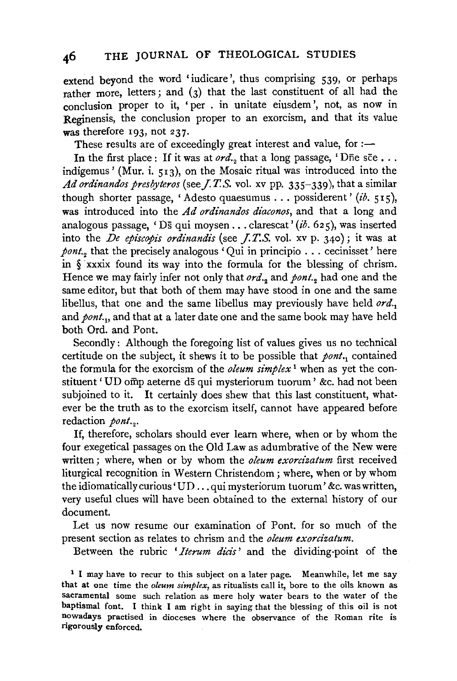extend beyond the word 'iudicare', thus comprising 539, or perhaps rather more, letters; and (3) that the last constituent of all had the conclusion proper to it, 'per . in unitate eiusdem ', not, as now in Reginensis, the conclusion proper to an exorcism, and that its value was therefore 193, not 237.

These results are of exceedingly great interest and value, for  $:$ 

In the first place: If it was at *ord.*, that a long passage, 'Dne see  $\ldots$ indigemus' (Mur. i. 513), on the Mosaic ritual was introduced into the Ad ordinandos presbyteros (see *J.T.S.* vol. xv pp. 335-339), that a similar though shorter passage, 'Adesto quaesumus ... possiderent' *(ib.* 515), was introduced into the *Ad ordinandos diaconos,* and that a long and analogous passage, 'Ds qui moysen ... clarescat' *(ib.* 625), was inserted into the *De episcopis ordinandis* (see *J.T.S.* vol. xv p. 340); it was at *pont.*<sub>2</sub> that the precisely analogous ' Oui in principio  $\ldots$  cecinisset' here in § xxxix found its way into the formula for the blessing of chrism. Hence we may fairly infer not only that *ord.*<sub>2</sub> and *pont.*<sub>2</sub> had one and the same editor, but that both of them may have stood in one and the same libellus, that one and the same libellus may previously have held *ord.*1 and *pont.*<sub>1</sub>, and that at a later date one and the same book may have held both Ord. and Pont.

Secondly: Although the foregoing list of values gives us no technical certitude on the subject, it shews it to be possible that  $\text{point}$ , contained the formula for the exorcism of the *oleum simplex* 1 when as yet the constituent 'UD omp aeterne ds qui mysteriorum tuorum' &c. had not been subjoined to it. It certainly does shew that this last constituent, whatever be the truth as to the exorcism itself, cannot have appeared before redaction *pont*...

If, therefore, scholars should ever learn where, when or by whom the four exegetical passages on the Old Law as adumbrative of the New were written; where, when or by whom the *oleum exorcizatum* first received liturgical recognition in Western Christendom ; where, when or by whom the idiomatically curious' UD ... qui mysteriorum tuorum' &c. was written, very useful clues will have been obtained to the external history of our document.

Let us now resume our examination of Pont. for so much of the present section as relates to chrism and the *oleum exorcizatum.* 

Between the rubric *'Iterum dicis'* and the dividing-point of the

 $<sup>1</sup>$  I may have to recur to this subject on a later page. Meanwhile, let me say</sup> that at one time the *oleum simplex,* as ritualists call it, bore to the oils known as sacramental some such relation as mere holy water bears to the water of the baptismal font. I think I am right in saying that the blessing of this oil is not nowadays practised in dioceses where the observance of the Roman rite is rigorously enforced.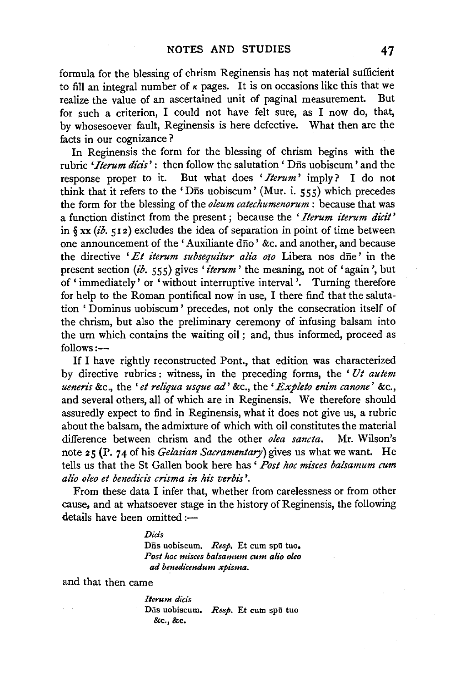formula for the blessing of chrism Reginensis has not material sufficient to fill an integral number of  $\kappa$  pages. It is on occasions like this that we realize the value of an ascertained unit of paginal measurement. But for such a criterion, I could not have felt sure, as I now do, that, by whosesoever fault, Reginensis is here defective. What then are the facts in our cognizance ?

In Reginensis the form for the blessing of chrism begins with the rubric *'Iterum dicis'*: then follow the salutation 'D<sub>is</sub> uobiscum' and the response proper to it. But what does *'Iterum'* imply? I do not think that it refers to the 'D $\bar{n}$ s uobiscum' (Mur. i. 555) which precedes the form for the blessing of the *oleum catechumenorum* : because that was a function distinct from the present ; because the *'Iterum iterum dicit'*  in § xx *(ib.* 51 2) excludes the idea of separation in point of time between one announcement of the 'Auxiliante dfio ' &c. and another, and because the directive 'Et iterum subsequitur alia oio Libera nos dne' in the present section *(ib.* 555) gives *'iterum'* the meaning, not of' again', but of 'immediately' or 'without interruptive interval'. Turning therefore for help to the Roman pontifical now in use, I there find that the salutation ' Dominus uobiscum' precedes, not only the consecration itself of the chrism, but also the preliminary ceremony of infusing balsam into the urn which contains the waiting oil ; and, thus informed, proceed as  $follows:$ 

If I have rightly reconstructed Pont., that edition was characterized by directive rubrics : witness, in the preceding forms, the ' *Ut autem ueneris* &c., the *'et reliqua usque ad'* &c., the' *Expleto enim canone'* &c., and several others, all of which are in Reginensis. We therefore should assuredly expect to find in Reginensis, what it does not give us, a rubric about the balsam, the admixture of which with oil constitutes the material difference between chrism and the other *olea sancta*. Mr. Wilson's difference between chrism and the other *olea sancta*. note 25 (P. 74 of his *Gelasian Sacramentary)* gives us what we want. He tells us that the St Gallen book here has ' *Post hoe misces balsamum cum alio oleo et benedicis crisma in his verbis* '.

From these data I infer that, whether from carelessness or from other cause, and at whatsoever stage in the history of Reginensis, the following details have been omitted:-

*Dicis* 

Dīis uobiscum. Resp. Et cum spū tuo. *Post hoe misces balsamum cum alio oleo ad benedicendum xpisma.* 

and that then came

*lterum dicis*  Dās uobiscum. *Resp.* Et cum spū tuo &c.,&c.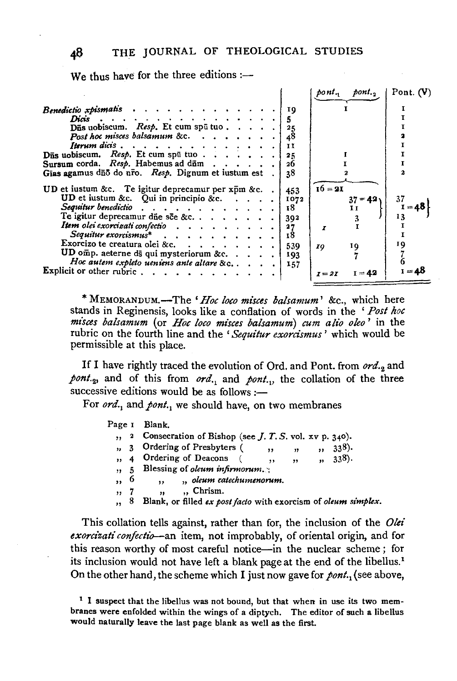We thus have for the three editions : $-$ 

|                                                                                                                                                                                                                                                                                                                                                           |      | pont.,<br>poni,      | Pont. $(V)$ |
|-----------------------------------------------------------------------------------------------------------------------------------------------------------------------------------------------------------------------------------------------------------------------------------------------------------------------------------------------------------|------|----------------------|-------------|
| Benedictio xpismatis                                                                                                                                                                                                                                                                                                                                      | ΙQ   |                      |             |
| Diets, $\cdots$ , $\cdots$ , $\cdots$ , $\cdots$ , $\cdots$ , $\cdots$ , $\cdots$ , $\cdots$ , $\cdots$ , $\cdots$ , $\cdots$ , $\cdots$ , $\cdots$ , $\cdots$ , $\cdots$ , $\cdots$ , $\cdots$ , $\cdots$ , $\cdots$ , $\cdots$ , $\cdots$ , $\cdots$ , $\cdots$ , $\cdots$ , $\cdots$ , $\cdots$ , $\cdots$ , $\cdots$ , $\cdots$ , $\cdots$ , $\cdots$ | 5    |                      |             |
| $\overline{\text{D}}\overline{\text{a}}\text{s}$ uobiscum. <i>Resp.</i> Et cum spū tuo                                                                                                                                                                                                                                                                    |      |                      |             |
| Post hoc misces balsamum &c. $\ldots$ , $\ldots$ , $\ldots$                                                                                                                                                                                                                                                                                               | 48   |                      |             |
| <b>Iterum</b> dicis $\cdots$ $\cdots$ $\cdots$ $\cdots$ $\cdots$ $\cdots$                                                                                                                                                                                                                                                                                 | 11   |                      |             |
| Dns uobiscum. Resp. Et cum spu tuo                                                                                                                                                                                                                                                                                                                        | 25   |                      |             |
| Sursum corda. Resp. Habemus ad dūm                                                                                                                                                                                                                                                                                                                        | 26   |                      |             |
| Gias agamus dūõ do nro. Resp. Dignum et iustum est.                                                                                                                                                                                                                                                                                                       | 38   |                      |             |
|                                                                                                                                                                                                                                                                                                                                                           |      |                      |             |
| <b>UD</b> et iustum &c. Te igitur deprecamur per $x \bar{p}$ m &c                                                                                                                                                                                                                                                                                         | 453  | $16 = 21$            |             |
| UD et iustum &c. Qui in principio &c. $\cdots$ .                                                                                                                                                                                                                                                                                                          | 1072 | $37 = 42$            |             |
| Sequitur benedictio                                                                                                                                                                                                                                                                                                                                       | 18   |                      | $1 = 48$    |
| Te igitur deprecamur düe see &c                                                                                                                                                                                                                                                                                                                           | 392  |                      |             |
| Item olei exorcizati confectio                                                                                                                                                                                                                                                                                                                            | 27   | I                    |             |
| $Sequitur$ exorcismus* $\ldots$ $\ldots$ $\ldots$ $\ldots$                                                                                                                                                                                                                                                                                                | 18   |                      |             |
| Exorcizo te creatura olei &c.                                                                                                                                                                                                                                                                                                                             | 539  | 10,<br>10            | 19          |
| UD omp. aeterne ds qui mysteriorum &c                                                                                                                                                                                                                                                                                                                     | 193  |                      |             |
| Hoc autem expleto ueniens ante altare &c                                                                                                                                                                                                                                                                                                                  | 157  |                      |             |
| Explicit or other rubric                                                                                                                                                                                                                                                                                                                                  |      | $I = 42$<br>$I = 2I$ | $I = 48$    |
|                                                                                                                                                                                                                                                                                                                                                           |      |                      |             |

\* MEMORANDUM.-The *'Hoe loco misces balsamum'* &c., which here stands in Reginensis, looks like a conflation of words in the ' *Post hoe mi'sces balsamum* (or *Hoe loco mi'sces balsamum) cum alio oleo'* in the rubric on the fourth line and the 'Sequitur exorcismus' which would be permissible at this place.

If I have rightly traced the evolution of Ord. and Pont. from *ord. <sup>2</sup>*and *pont. <sup>2</sup>,* and of this from *ord.*1 and *pont.*1, the collation of the three successive editions would be as follows :-

For *ord.*, and *pont.*, we should have, on two membranes

| Page I                  |           | Blank.                                                         |
|-------------------------|-----------|----------------------------------------------------------------|
| ,,                      |           | 2 Consecration of Bishop (see $J. T. S.$ vol. xv p. 340).      |
| ۰,                      |           | Ordering of Presbyters (<br>338.<br>17<br>,,<br>,,             |
| $\overline{\mathbf{z}}$ |           | Ordering of Deacons<br>338.<br>$\bullet$<br>,,<br>,,           |
| ,, 5                    |           | Blessing of <i>oleum</i> infirmorum.                           |
| $, \,$                  | $\bullet$ | " oleum catechumenorum.<br>,,                                  |
| ,,                      |           | "Chrism.<br>,,                                                 |
| ,,                      | -8        | Blank, or filled ex post facto with exorcism of oleum simplex. |

This collation tells against, rather than for, the inclusion of the *Olei exorcizati confectio--an* item, not improbably, of oriental origin, and for this reason worthy of most careful notice-in the nuclear scheme ; for its inclusion would not have left a blank page at the end of the libellus.<sup>1</sup> On the other hand, the scheme which I just now gave for *pont*.<sub>1</sub> (see above,

<sup>&</sup>lt;sup>1</sup> I suspect that the libellus was not bound, but that when in use its two membranes were enfolded within the wings of a diptych. The editor of such a libellus would naturally leave the last page blank as well as the first.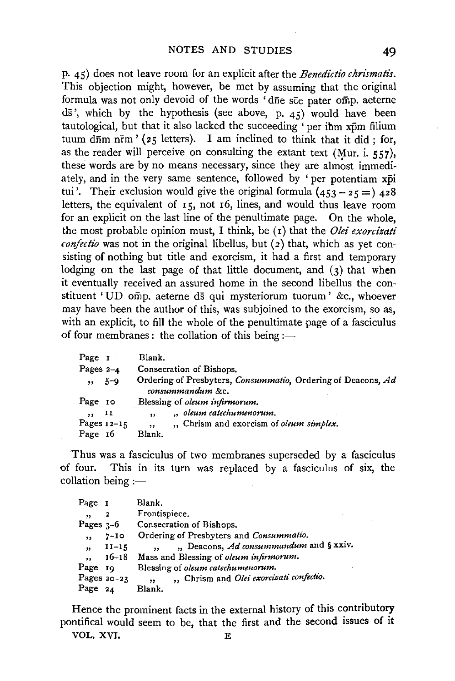p. 45) does not leave room for an explicit after the *Benedictio chrismatis.*  This objection might, however, be met by assuming that the original formula was not only devoid of the words 'dne see pater omp. aeterne  $d\bar{s}$ ', which by the hypothesis (see above, p. 45) would have been tautological, but that it also lacked the succeeding 'per ihm xpm filium tuum d $\overline{a}$ m n $\overline{r}$ m' (25 letters). I am inclined to think that it did; for, as the reader will perceive on consulting the extant text (Mur. i.  $557$ ), these words are by no means necessary, since they are almost immediately, and in the very same sentence, followed by ' per potentiam xpi tui'. Their exclusion would give the original formula  $(453 - 25 =)$   $428$ letters, the equivalent of  $15$ , not  $16$ , lines, and would thus leave room for an explicit on the last line of the penultimate page. On the whole, the most probable opinion must, I think, be (1) that the *Olei exorcizati confectio* was not in the original libellus, but  $(z)$  that, which as yet consisting of nothing but title and exorcism, it had a first and temporary lodging on the last page of that little document, and (3) that when it eventually received an assured home in the second libellus the constituent 'UD omp. aeterne ds qui mysteriorum tuorum ' &c., whoever may have been the author of this, was subjoined to the exorcism, so as, with an explicit, to fill the whole of the penultimate page of a fasciculus of four membranes: the collation of this being :-

| Page 1        |     | Blank.                                                                           |
|---------------|-----|----------------------------------------------------------------------------------|
| Pages $2-4$   |     | Consecration of Bishops.                                                         |
| $, 5-9$       |     | Ordering of Presbyters, Consummatio, Ordering of Deacons, Ad<br>consummandum &c. |
| Page 10       |     | Blessing of <i>oleum</i> infirmorum.                                             |
| ,,            | -11 | " oleum catechumenorum.<br>, ,                                                   |
| Pages $12-15$ |     | ., Chrism and exorcism of oleum simplex.<br>, ,                                  |
| Page 16       |     | Blank.                                                                           |

Thus was a fasciculus of two membranes superseded by a fasciculus of six, the four. This in its turn was replaced by a fasciculus of six, the This in its turn was replaced by a fasciculus of six, the  $collation$  being  $:=$ 

| Page 1      |             | Blank.                                              |
|-------------|-------------|-----------------------------------------------------|
| , ,         | 2           | Frontispiece,                                       |
| Pages $3-6$ |             | Consecration of Bishops.                            |
| $, \,$      | $7 - 10$    | Ordering of Presbyters and Consummatio.             |
| ,           | $II - 15$   | ", Deacons, Ad consummandum and § xxiv.<br>$\cdots$ |
| ,,          | $16 - 18$   | Mass and Blessing of oleum infirmorum.              |
| Page 19     |             | Blessing of <i>oleum</i> catechumenorum.            |
|             | Pages 20-23 | " Chrism and Olei exorcizati confectio.<br>,,       |
| Page 24     |             | Blank.                                              |

Hence the prominent facts in the external history of this contributory pontifical would seem to be, that the first and the second issues of it VOL. XVI. REPORTED THE RESERVE OF A REPORT OF THE REPORT OF THE RESERVE OF THE REPORT OF THE REPORT OF THE REPORT OF THE REPORT OF THE REPORT OF THE REPORT OF THE REPORT OF THE REPORT OF THE REPORT OF THE REPORT OF THE REP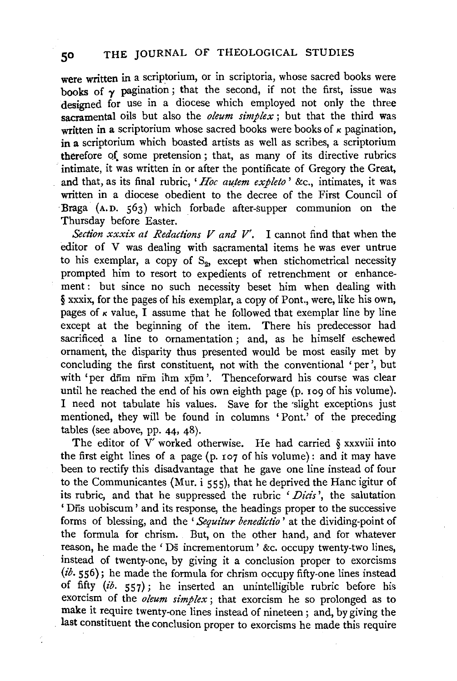were written in a scriptorium, or in scriptoria, whose sacred books were books of  $\gamma$  pagination; that the second, if not the first, issue was designed for use in a diocese which employed not only the three sacramental oils but also the *oleum simplex* ; but that the third was written in a scriptorium whose sacred books were books of  $\kappa$  pagination, in a scriptorium which boasted artists as well as scribes, a scriptorium therefore of. some pretension ; that, as many of its directive rubrics intimate, it was written in or after the pontificate of Gregory the Great, and that, as its final rubric, 'Hoc autem expleto' &c., intimates, it was written in a diocese obedient to the decree of the First Council of Braga (A.D. 563) which forbade after-supper communion on the Thursday before Easter.

*Section xxxix at Redactions V and V'.* I cannot find that when the editor of V was dealing with sacramental items he was ever untrue to his exemplar, a copy of  $S_2$ , except when stichometrical necessity prompted him to resort to expedients of retrenchment or enhancement : but since no such necessity beset him when dealing with § xxxix, for the pages of his exemplar, a copy of Pont., were, like his own, pages of  $\kappa$  value, I assume that he followed that exemplar line by line except at the beginning of the item. There his predecessor had sacrificed a line to ornamentation ; and, as he himself eschewed ornament, the disparity thus presented would be most easily met by concluding the first constituent, not with the conventional 'per', but with 'per dnm nrm ihm xpm'. Thenceforward his course was clear until he reached the end of his own eighth page (p. 109 of his volume). I need not tabulate his values. Save for the 'slight exceptions just mentioned, they will be found in columns 'Pont.' of the preceding tables (see above, pp. 44, 48).

The editor of  $V'$  worked otherwise. He had carried  $\S$  xxxviii into the first eight lines of a page (p. 107 of his volume): and it may have been to rectify this disadvantage that he gave one line instead of four to the Communicantes (Mur. i 555), that he deprived the Hane igitur of its rubric, and that he suppressed the rubric *'Dicis* ', the salutation 'Dfis uobiscum' and its response, the beadings proper to the successive forms of blessing, and the *'Sequitur benedidio* ' at the dividing-point of the formula for chrism. But, on the other hand, and for whatever reason, he made the 'Ds incrementorum' &c. occupy twenty-two lines, instead of twenty-one, by giving it a conclusion proper to exorcisms (ib. 556); he made the formula for chrism occupy fifty-one lines instead of fifty *(ib.* 557); he inserted an unintelligible rubric before bis exorcism of the *oleum simplex* ; that exorcism he so prolonged as to make it require twenty-one lines instead of nineteen ; and, by giving the last constituent the conclusion proper to exorcisms he made this require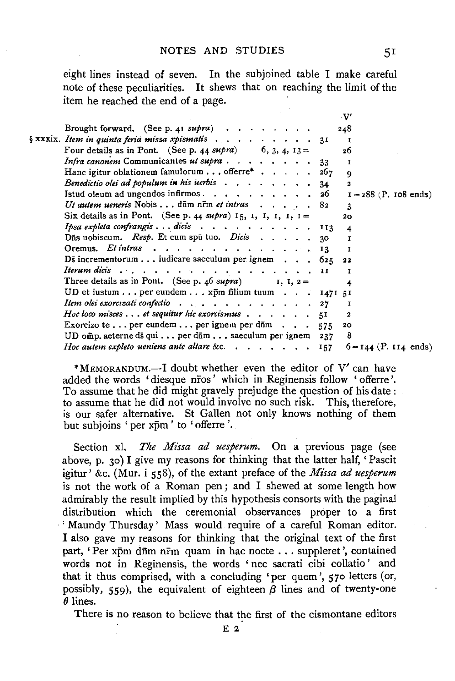eight lines instead of seven. In the subjoined table I make careful note of these peculiarities. It shews that on reaching the limit of the item he reached the end of a page.

|  |                                                                                     | $\cdot \mathbf{V'}$     |
|--|-------------------------------------------------------------------------------------|-------------------------|
|  | Brought forward. (See p. 41 supra) $\cdots$ $\cdots$ $\cdots$                       | 248                     |
|  | $\S$ xxxix. Item in quinta feria missa xpismatis $\ldots$ , 31                      | л                       |
|  | Four details as in Pont. (See p. 44 supra) 6, 3, 4, $13 =$                          | 26                      |
|  | Infra canonem Communicantes ut supra33                                              | т                       |
|  | Hanc igitur oblationem famulorum offerre* 267                                       | $\mathbf Q$             |
|  | Benedictio olei ad populum in his uerbis $\ldots$ ,   34                            | $\mathbf{z}$            |
|  |                                                                                     | $I = 288$ (P. 108 ends) |
|  | Ut autem ueneris Nobis dūm nrm et intras 82                                         | 3                       |
|  | Six details as in Pont. (See p. 44 supra) 15, 1, 1, 1, 1, 1 =                       | 20                      |
|  | Ipsa expleta confrangis dicis 113                                                   | $\overline{\mathbf{4}}$ |
|  | Dūs uobiscum. Resp. Et cum spū tuo. Dicis 30                                        | $\mathbf{r}$            |
|  | Oremus. Etintras 13                                                                 | т                       |
|  | Ds incrementorum iudicare saeculum per ignem $\ldots$ 625                           | 22                      |
|  | Iterum dicis                                                                        | т                       |
|  | Three details as in Pont. (See p. 46 supra) $I, I, 2=$                              | 4                       |
|  | UD et iustum per eundem xpm filium tuum 1471 51                                     |                         |
|  | Item olei exorcizati confectio 27                                                   | 1                       |
|  | Hoc loco misces $\dots$ et sequitur hic exorcismus $\dots$ $\dots$ $\dots$ $\ddots$ | 2                       |
|  | Exorcizo te per eundem per ignem per d $\bar{m}$ 575                                | 20                      |
|  | UD omp. aeterne ds qui per d $\overline{a}$ m saeculum per ignem 237                | 8                       |
|  | <i>Hoc autem expleto ueniens ante altare &amp;c.</i> 157 $6=144$ (P. 114 ends)      |                         |

\*MEMORANDUM.-I doubt whether even the editor of V' can have added the words 'diesque nros' which in Reginensis follow 'offerre'. To assume that he did might gravely prejudge the question of his date: to assume that he did not would involve no such risk. This, therefore, is our safer alternative. St Gallen not only knows nothing of them but subjoins 'per xpm' to 'offerre'.

Section xl. *The Missa ad uesperum*. On a previous page (see above, p. 30) I give my reasons for thinking that the latter half, 'Pascit igitur' &c. (Mur. i 558), of the extant preface of the *Missa ad uesperum*  is not the work of a Roman pen ; and I shewed at some length how admirably the result implied by this hypothesis consorts with the pagina! distribution which the ceremonial observances proper to a first ' Maundy Thursday' Mass would require of a careful Roman editor. I also gave my reasons for thinking that the original text of the first part, 'Per xpm dnm nrm quam in hac nocte . . . suppleret', contained words not in Reginensis, the words 'nee sacrati cibi collatio' and that it thus comprised, with a concluding 'per quem', 570 letters (or, possibly, 559), the equivalent of eighteen  $\beta$  lines and of twenty-one *()* lines.

There is no reason to believe that the first of the cismontane editors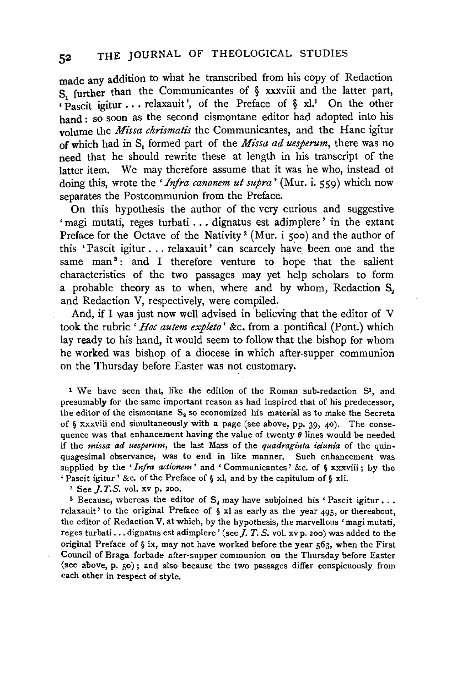made any addition to what he transcribed from his copy of Redaction s further than the Communicantes of § xxxviii and the latter part, • Pascit igitur ... relaxauit ', of the Preface of § xl.1 On the other hand : so soon as the second cismontane editor had adopted into his volume the *Missa chrismatis* the Communicantes, and the Hane igitur of which had in S<sub>1</sub> formed part of the *Missa ad uesperum*, there was no need that he should rewrite these at length in his transcript of the latter item. We may therefore assume that it was he who, instead ot doing this, wrote the *'Infra canonem ut supra'* (Mur. i. 559) which now separates the Postcommunion from the Preface.

On this hypothesis the author of the very curious and suggestive 'magi mutati, reges turbati ... dignatus est adimplere' in the extant Preface for the Octave of the Nativity<sup>2</sup> (Mur. i 500) and the author of this 'Pascit igitur ... relaxauit' can scarcely have. been one and the same man<sup>3</sup>: and I therefore venture to hope that the salient characteristics of the two passages may yet help scholars to form a probable theory as to when, where and by whom, Redaction  $S<sub>2</sub>$ and Redaction V, respectively, were compiled.

And, if I was just now well advised in believing that the editor of V took the rubric *'Hoe autem expleto'* &c. from a pontifical (Pont.) which lay ready to his hand, it would seem to follow that the bishop for whom he worked was bishop of a diocese in which after-supper communion on the Thursday before Easter was not customary.

1 We have seen that, like the edition of the Roman sub-redaction S1, and presumably for the same important reason as had inspired that of his predecessor, the editor of the cismontane  $S_3$  so economized his material as to make the Secreta of § xxxviii end simultaneously with a page (see above, pp. 39, 40). The consequence was that enhancement having the value of twenty  $\theta$  lines would be needed if the *m1ssa ad uesperum,* the last Mass of the *quadraginta ieiunia* of the quinquagesimal observance, was to end in like manner. Such enhancement was supplied by the *'Infra actionem* ' and ' Communicantes' &c. of § xxxviii ; by the 'Pascit igitur' &c. of the Preface of§ xl, and by the capitulum of§ xii. 2 See *].* T.S. vol. xv p. 200.

<sup>3</sup> Because, whereas the editor of  $S<sub>2</sub>$  may have subjoined his 'Pascit igitur... relaxauit' to the original Preface of § xl as early as the year 495, or thereabout, the editor of Redaction V, at which, by the hypothesis, the marvellous 'magi mutati, reges turbati ... dignatus est adimplere' (see  $J$ .  $T$ .  $S$ . vol. xv p. 200) was added to the original Preface of  $\S$  ix, may not have worked before the year  $563$ , when the First Council of Braga forbade after-supper communion on the Thursday before Easter (see above, p. 50); and also because the two passages differ conspicuously from each other in respect of style.